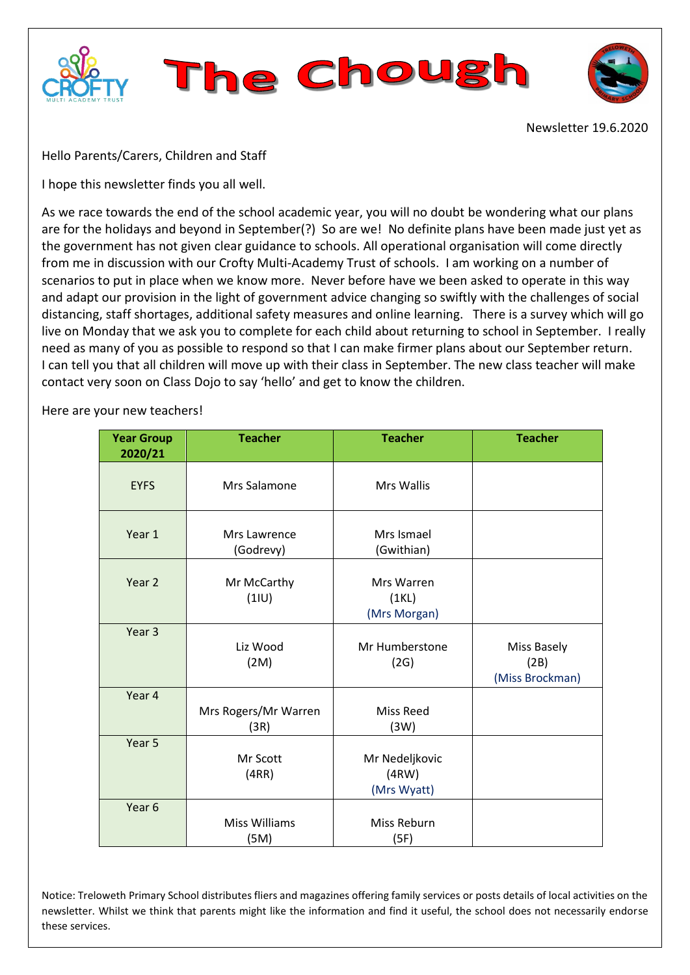



Newsletter 19.6.2020

Hello Parents/Carers, Children and Staff

I hope this newsletter finds you all well.

As we race towards the end of the school academic year, you will no doubt be wondering what our plans are for the holidays and beyond in September(?) So are we! No definite plans have been made just yet as the government has not given clear guidance to schools. All operational organisation will come directly from me in discussion with our Crofty Multi-Academy Trust of schools. I am working on a number of scenarios to put in place when we know more. Never before have we been asked to operate in this way and adapt our provision in the light of government advice changing so swiftly with the challenges of social distancing, staff shortages, additional safety measures and online learning. There is a survey which will go live on Monday that we ask you to complete for each child about returning to school in September. I really need as many of you as possible to respond so that I can make firmer plans about our September return. I can tell you that all children will move up with their class in September. The new class teacher will make contact very soon on Class Dojo to say 'hello' and get to know the children.

Here are your new teachers!

| <b>Year Group</b><br>2020/21 | <b>Teacher</b>               | <b>Teacher</b>                         | <b>Teacher</b>                         |
|------------------------------|------------------------------|----------------------------------------|----------------------------------------|
| <b>EYFS</b>                  | Mrs Salamone                 | <b>Mrs Wallis</b>                      |                                        |
| Year 1                       | Mrs Lawrence<br>(Godrevy)    | Mrs Ismael<br>(Gwithian)               |                                        |
| Year 2                       | Mr McCarthy<br>(11U)         | Mrs Warren<br>(1KL)<br>(Mrs Morgan)    |                                        |
| Year <sub>3</sub>            | Liz Wood<br>(2M)             | Mr Humberstone<br>(2G)                 | Miss Basely<br>(2B)<br>(Miss Brockman) |
| Year 4                       | Mrs Rogers/Mr Warren<br>(3R) | <b>Miss Reed</b><br>(3W)               |                                        |
| Year 5                       | Mr Scott<br>(4RR)            | Mr Nedeljkovic<br>(4RW)<br>(Mrs Wyatt) |                                        |
| Year 6                       | <b>Miss Williams</b><br>(5M) | Miss Reburn<br>(5F)                    |                                        |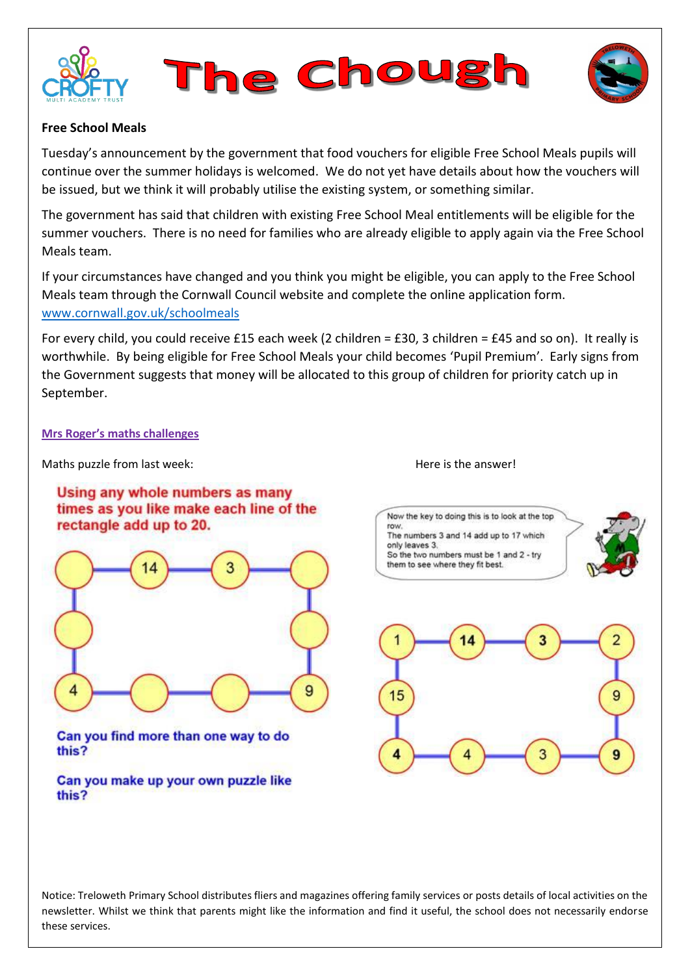





## **Free School Meals**

Tuesday's announcement by the government that food vouchers for eligible Free School Meals pupils will continue over the summer holidays is welcomed. We do not yet have details about how the vouchers will be issued, but we think it will probably utilise the existing system, or something similar.

The government has said that children with existing Free School Meal entitlements will be eligible for the summer vouchers. There is no need for families who are already eligible to apply again via the Free School Meals team.

If your circumstances have changed and you think you might be eligible, you can apply to the Free School Meals team through the Cornwall Council website and complete the online application form. [www.cornwall.gov.uk/schoolmeals](http://www.cornwall.gov.uk/schoolmeals) 

For every child, you could receive £15 each week (2 children = £30, 3 children = £45 and so on). It really is worthwhile. By being eligible for Free School Meals your child becomes 'Pupil Premium'. Early signs from the Government suggests that money will be allocated to this group of children for priority catch up in September.

#### **Mrs Roger's maths challenges**

Maths puzzle from last week:  $\blacksquare$  Here is the answer!

## Using any whole numbers as many times as you like make each line of the rectangle add up to 20.



Can you find more than one way to do this?

Can you make up your own puzzle like this?





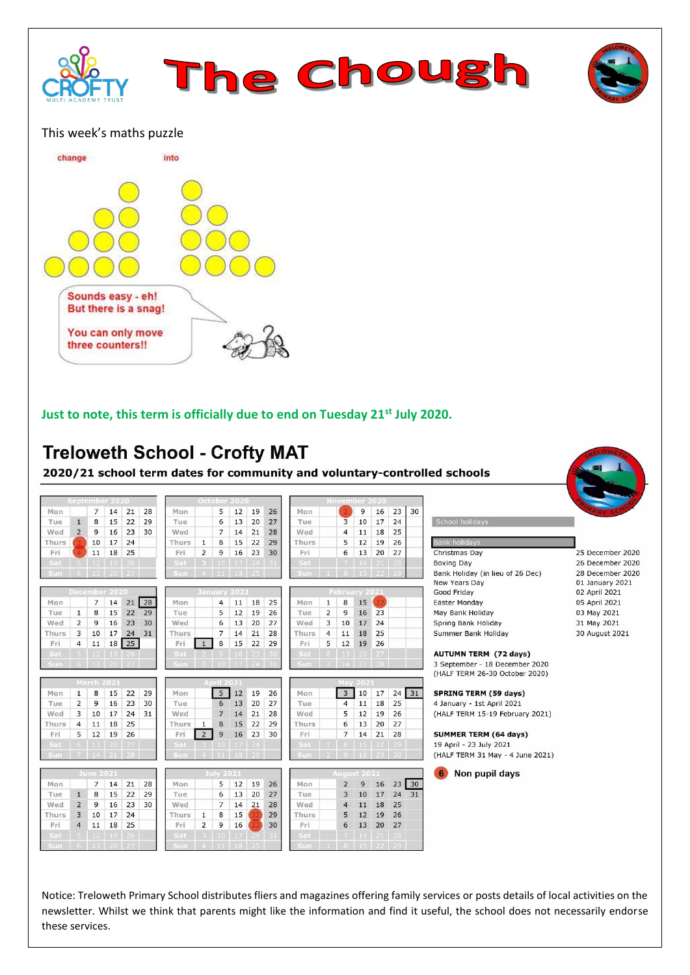



### This week's maths puzzle



## **Just to note, this term is officially due to end on Tuesday 21st July 2020.**

# **Treloweth School - Crofty MAT**

2020/21 school term dates for community and voluntary-controlled schools

|       |                | September 2020   |                      |              |    |       |                | October 2020       |                  |     |    |             |                |                         | November 2020        |                |              |    |                                  |                  |
|-------|----------------|------------------|----------------------|--------------|----|-------|----------------|--------------------|------------------|-----|----|-------------|----------------|-------------------------|----------------------|----------------|--------------|----|----------------------------------|------------------|
| Mon   |                | $\overline{7}$   | 14                   | 21           | 28 | Mon   |                | 5                  | 12               | 19  | 26 | Mon         |                |                         | 9                    | 16             | 23           | 30 |                                  |                  |
| Tue   | $\mathbf{1}$   | 8                | 15                   | 22           | 29 | Tue   |                | 6                  | 13               | 20  | 27 | Tue         |                | 3                       | 10                   | 17             | 24           |    | School holidays                  |                  |
| Wed   | $\overline{2}$ | 9                | 16                   | 23           | 30 | Wed   |                | $\overline{7}$     | 14               | 21  | 28 | Wed         |                | $\overline{4}$          | 11                   | 18             | 25           |    |                                  |                  |
| Thurs |                | 10               | 17                   | 24           |    | Thurs | $\mathbf{1}$   | 8                  | 15               | 22  | 29 | Thurs       |                | 5                       | 12                   | 19             | 26           |    | <b>Bank holidays</b>             |                  |
| Fri   |                | 11               | 18                   | 25           |    | Fri   | $\overline{2}$ | 9                  | 16               | 23  | 30 | Fri         |                | 6                       | 13                   | 20             | 27           |    | Christmas Day                    | 25 December 2020 |
| Sat - |                | $5 \t12$         | 19                   | $26$         |    | Sat   |                | 3   10   17   24   |                  |     |    | Sat.        |                | -7 -                    |                      | $14$   21   28 |              |    | <b>Boxing Day</b>                | 26 December 2020 |
| Sun.  |                | 13 <sup>1</sup>  | $20 \mid 27$         |              |    | Sun   |                | $4$   11   18   25 |                  |     |    | <b>Sun</b>  |                |                         |                      | $15$   22      |              |    | Bank Holiday (in lieu of 26 Dec) | 28 December 2020 |
|       |                |                  |                      |              |    |       |                |                    |                  |     |    |             |                |                         |                      |                |              |    | New Years Day                    | 01 January 2021  |
|       |                | December 2020    |                      |              |    |       |                | January 2021       |                  |     |    |             |                |                         | <b>February 2021</b> |                |              |    | Good Friday                      | 02 April 2021    |
| Mon   |                | $\overline{7}$   | 14                   | 21           | 28 | Mon   |                | $\overline{4}$     | 11               | 18  | 25 | Mon         | $\mathbf{1}$   | 8                       | 15                   | 22             |              |    | Easter Monday                    | 05 April 2021    |
| Tue   | $\mathbf{1}$   | 8                | 15                   | 22           | 29 | Tue   |                | 5                  | 12               | 19  | 26 | Tue         | $\overline{2}$ | 9                       | 16                   | 23             |              |    | May Bank Holiday                 | 03 May 2021      |
| Wed   | $\overline{2}$ | 9                | 16                   | 23           | 30 | Wed   |                | 6                  | 13               | 20  | 27 | Wed         | 3              | 10                      | 17                   | 24             |              |    | Spring Bank Holiday              | 31 May 2021      |
| Thurs | 3              | 10               | 17                   | 24           | 31 | Thurs |                | $\overline{7}$     | 14               | 21  | 28 | Thurs       | $\overline{4}$ | 11                      | 18                   | 25             |              |    | Summer Bank Holiday              | 30 August 2021   |
| Fri   | $\overline{4}$ | 11               | 18                   | 25           |    | Fri   | $\overline{1}$ | 8                  | 15               | 22  | 29 | Fri         | 5              | 12                      | 19                   | 26             |              |    |                                  |                  |
| Sat   | 5 <sup>1</sup> | 12               |                      | $19 \mid 26$ |    | Sat   |                |                    | 9   16   23   30 |     |    | Sat         | 6              |                         | $13$   20   27       |                |              |    | <b>AUTUMN TERM (72 days)</b>     |                  |
| Sun-  | $6 -$          |                  | $13$   20   27       |              |    | Sun.  |                |                    | $10$ 17 24       |     |    | <b>Sun</b>  |                |                         | $14$   21   28       |                |              |    | 3 September - 18 December 2020   |                  |
|       |                |                  |                      |              |    |       |                |                    |                  |     |    |             |                |                         |                      |                |              |    | (HALF TERM 26-30 October 2020)   |                  |
|       |                | March 2021       |                      |              |    |       |                | <b>April 2021</b>  |                  |     |    |             |                |                         | <b>May 2021</b>      |                |              |    |                                  |                  |
| Mon   | $\mathbf{1}$   | 8                | 15                   | 22           | 29 | Mon   |                | 5 <sub>1</sub>     | 12               | 19  | 26 | Mon         |                | $\overline{\mathbf{3}}$ | 10                   | 17             | 24           | 31 | <b>SPRING TERM (59 days)</b>     |                  |
| Tue   | $\overline{2}$ | 9                | 16                   | 23           | 30 | Tue   |                | 6                  | 13               | 20  | 27 | Tue         |                | $\overline{4}$          | 11                   | 18             | 25           |    | 4 January - 1st April 2021       |                  |
| Wed   | 3              | 10               | 17                   | 24           | 31 | Wed   |                | $\overline{7}$     | 14               | 21  | 28 | Wed         |                | 5                       | 12                   | 19             | 26           |    | (HALF TERM 15-19 February 2021)  |                  |
| Thurs | $\overline{4}$ | 11               | 18                   | 25           |    | Thurs | $\mathbf{1}$   | 8                  | 15               | 22  | 29 | Thurs       |                | 6                       | 13                   | 20             | 27           |    |                                  |                  |
| Fri   | 5              | 12               | 19                   | 26           |    | Fri   | $\overline{2}$ | 9                  | 16               | 23  | 30 | Fri         |                | $\overline{7}$          | 14                   | 21             | 28           |    | <b>SUMMER TERM (64 days)</b>     |                  |
| Sat   | 6 <sup>1</sup> |                  | $13 \mid 20 \mid 27$ |              |    | Sat   |                | 10                 | 17               | 24  |    | Sat         | $-1$           |                         | 8 15 22 29           |                |              |    | 19 April - 23 July 2021          |                  |
| Sun   |                |                  | 21                   | 78           |    | Sun   |                |                    | $11$   $18$   25 |     |    | Sun         |                |                         | 9   16   23          |                |              |    | (HALF TERM 31 May - 4 June 2021) |                  |
|       |                | <b>June 2021</b> |                      |              |    |       |                | <b>July 2021</b>   |                  |     |    |             |                |                         | August 2021          |                |              |    | Non pupil days<br>6              |                  |
| Mon   |                | $\overline{7}$   | 14                   | 21           | 28 | Mon   |                | 5                  | 12               | 19  | 26 | Mon         |                | $\overline{2}$          | 9                    | 16             | $23 \mid 30$ |    |                                  |                  |
| Tue   | $\mathbf{1}$   | 8                | 15                   | 22           | 29 | Tue   |                | 6                  | 13               | 20  | 27 | Tue         |                | 3                       | 10                   | 17             | 24           | 31 |                                  |                  |
| Wed   | $\overline{2}$ | 9                | 16                   | 23           | 30 | Wed   |                | $\overline{7}$     | 14               | 21  | 28 | Wed         |                | $\overline{4}$          | 11                   | 18             | 25           |    |                                  |                  |
| Thurs | 3              | 10               | 17                   | 24           |    | Thurs | $\mathbf{1}$   | 8                  | 15               |     | 29 | Thurs       |                | 5                       | 12                   | 19             | 26           |    |                                  |                  |
| Fri   | $\overline{4}$ | 11               | 18                   | 25           |    | Fri   | $\overline{2}$ | $\overline{9}$     | 16               |     | 30 | Fri         |                | 6                       | 13                   | 20             | 27           |    |                                  |                  |
| Sat   |                | 12 <sub>2</sub>  | 19                   | 26           |    | Sat   |                | 10 <sup>1</sup>    | 17               | -24 |    | Sat         |                |                         |                      | 21             | 28           |    |                                  |                  |
| Sun.  |                |                  |                      |              |    | STIL  |                |                    |                  |     |    | <b>STIP</b> |                |                         |                      |                |              |    |                                  |                  |